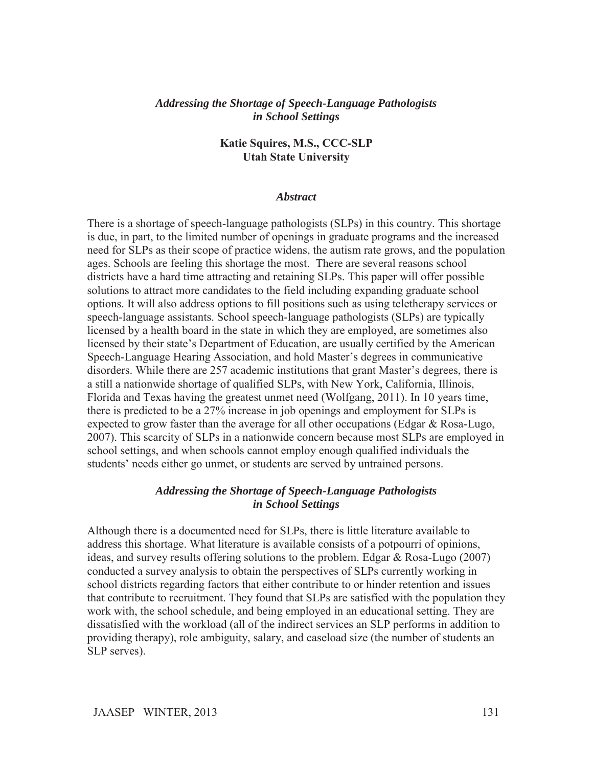#### *Addressing the Shortage of Speech-Language Pathologists in School Settings*

#### **Katie Squires, M.S., CCC-SLP Utah State University**

#### *Abstract*

There is a shortage of speech-language pathologists (SLPs) in this country. This shortage is due, in part, to the limited number of openings in graduate programs and the increased need for SLPs as their scope of practice widens, the autism rate grows, and the population ages. Schools are feeling this shortage the most. There are several reasons school districts have a hard time attracting and retaining SLPs. This paper will offer possible solutions to attract more candidates to the field including expanding graduate school options. It will also address options to fill positions such as using teletherapy services or speech-language assistants. School speech-language pathologists (SLPs) are typically licensed by a health board in the state in which they are employed, are sometimes also licensed by their state's Department of Education, are usually certified by the American Speech-Language Hearing Association, and hold Master's degrees in communicative disorders. While there are 257 academic institutions that grant Master's degrees, there is a still a nationwide shortage of qualified SLPs, with New York, California, Illinois, Florida and Texas having the greatest unmet need (Wolfgang, 2011). In 10 years time, there is predicted to be a 27% increase in job openings and employment for SLPs is expected to grow faster than the average for all other occupations (Edgar & Rosa-Lugo, 2007). This scarcity of SLPs in a nationwide concern because most SLPs are employed in school settings, and when schools cannot employ enough qualified individuals the students' needs either go unmet, or students are served by untrained persons.

## *Addressing the Shortage of Speech-Language Pathologists in School Settings*

Although there is a documented need for SLPs, there is little literature available to address this shortage. What literature is available consists of a potpourri of opinions, ideas, and survey results offering solutions to the problem. Edgar & Rosa-Lugo (2007) conducted a survey analysis to obtain the perspectives of SLPs currently working in school districts regarding factors that either contribute to or hinder retention and issues that contribute to recruitment. They found that SLPs are satisfied with the population they work with, the school schedule, and being employed in an educational setting. They are dissatisfied with the workload (all of the indirect services an SLP performs in addition to providing therapy), role ambiguity, salary, and caseload size (the number of students an SLP serves).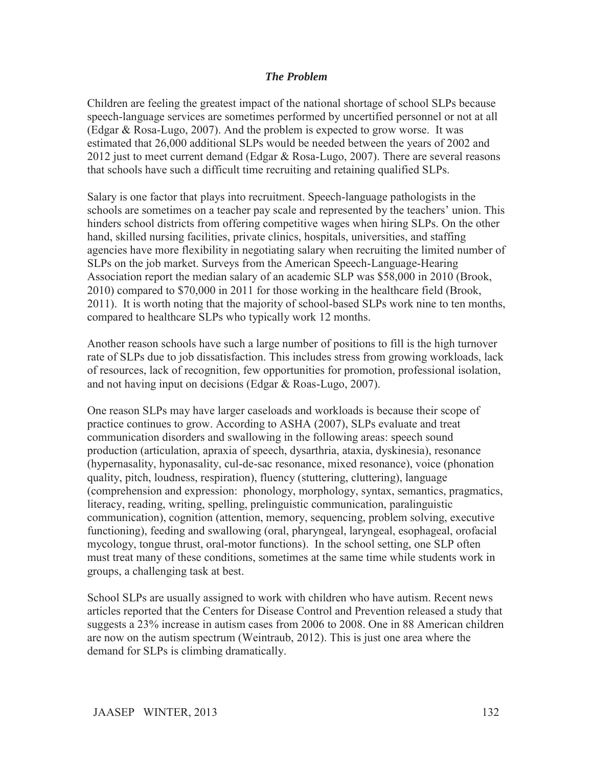# *The Problem*

Children are feeling the greatest impact of the national shortage of school SLPs because speech-language services are sometimes performed by uncertified personnel or not at all (Edgar & Rosa-Lugo, 2007). And the problem is expected to grow worse. It was estimated that 26,000 additional SLPs would be needed between the years of 2002 and 2012 just to meet current demand (Edgar & Rosa-Lugo, 2007). There are several reasons that schools have such a difficult time recruiting and retaining qualified SLPs.

Salary is one factor that plays into recruitment. Speech-language pathologists in the schools are sometimes on a teacher pay scale and represented by the teachers' union. This hinders school districts from offering competitive wages when hiring SLPs. On the other hand, skilled nursing facilities, private clinics, hospitals, universities, and staffing agencies have more flexibility in negotiating salary when recruiting the limited number of SLPs on the job market. Surveys from the American Speech-Language-Hearing Association report the median salary of an academic SLP was \$58,000 in 2010 (Brook, 2010) compared to \$70,000 in 2011 for those working in the healthcare field (Brook, 2011). It is worth noting that the majority of school-based SLPs work nine to ten months, compared to healthcare SLPs who typically work 12 months.

Another reason schools have such a large number of positions to fill is the high turnover rate of SLPs due to job dissatisfaction. This includes stress from growing workloads, lack of resources, lack of recognition, few opportunities for promotion, professional isolation, and not having input on decisions (Edgar & Roas-Lugo, 2007).

One reason SLPs may have larger caseloads and workloads is because their scope of practice continues to grow. According to ASHA (2007), SLPs evaluate and treat communication disorders and swallowing in the following areas: speech sound production (articulation, apraxia of speech, dysarthria, ataxia, dyskinesia), resonance (hypernasality, hyponasality, cul-de-sac resonance, mixed resonance), voice (phonation quality, pitch, loudness, respiration), fluency (stuttering, cluttering), language (comprehension and expression: phonology, morphology, syntax, semantics, pragmatics, literacy, reading, writing, spelling, prelinguistic communication, paralinguistic communication), cognition (attention, memory, sequencing, problem solving, executive functioning), feeding and swallowing (oral, pharyngeal, laryngeal, esophageal, orofacial mycology, tongue thrust, oral-motor functions). In the school setting, one SLP often must treat many of these conditions, sometimes at the same time while students work in groups, a challenging task at best.

School SLPs are usually assigned to work with children who have autism. Recent news articles reported that the Centers for Disease Control and Prevention released a study that suggests a 23% increase in autism cases from 2006 to 2008. One in 88 American children are now on the autism spectrum (Weintraub, 2012). This is just one area where the demand for SLPs is climbing dramatically.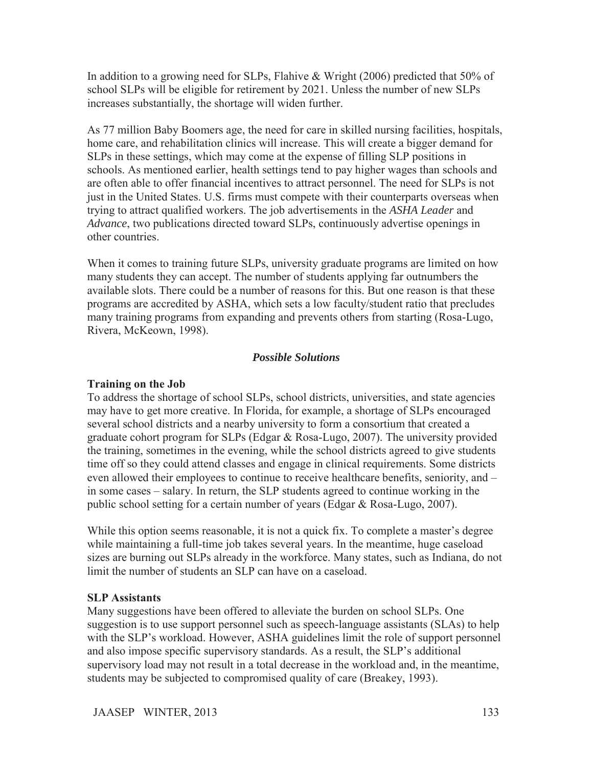In addition to a growing need for SLPs, Flahive & Wright (2006) predicted that 50% of school SLPs will be eligible for retirement by 2021. Unless the number of new SLPs increases substantially, the shortage will widen further.

As 77 million Baby Boomers age, the need for care in skilled nursing facilities, hospitals, home care, and rehabilitation clinics will increase. This will create a bigger demand for SLPs in these settings, which may come at the expense of filling SLP positions in schools. As mentioned earlier, health settings tend to pay higher wages than schools and are often able to offer financial incentives to attract personnel. The need for SLPs is not just in the United States. U.S. firms must compete with their counterparts overseas when trying to attract qualified workers. The job advertisements in the *ASHA Leader* and *Advance*, two publications directed toward SLPs, continuously advertise openings in other countries.

When it comes to training future SLPs, university graduate programs are limited on how many students they can accept. The number of students applying far outnumbers the available slots. There could be a number of reasons for this. But one reason is that these programs are accredited by ASHA, which sets a low faculty/student ratio that precludes many training programs from expanding and prevents others from starting (Rosa-Lugo, Rivera, McKeown, 1998).

# *Possible Solutions*

# **Training on the Job**

To address the shortage of school SLPs, school districts, universities, and state agencies may have to get more creative. In Florida, for example, a shortage of SLPs encouraged several school districts and a nearby university to form a consortium that created a graduate cohort program for SLPs (Edgar & Rosa-Lugo, 2007). The university provided the training, sometimes in the evening, while the school districts agreed to give students time off so they could attend classes and engage in clinical requirements. Some districts even allowed their employees to continue to receive healthcare benefits, seniority, and – in some cases – salary. In return, the SLP students agreed to continue working in the public school setting for a certain number of years (Edgar & Rosa-Lugo, 2007).

While this option seems reasonable, it is not a quick fix. To complete a master's degree while maintaining a full-time job takes several years. In the meantime, huge caseload sizes are burning out SLPs already in the workforce. Many states, such as Indiana, do not limit the number of students an SLP can have on a caseload.

### **SLP Assistants**

Many suggestions have been offered to alleviate the burden on school SLPs. One suggestion is to use support personnel such as speech-language assistants (SLAs) to help with the SLP's workload. However, ASHA guidelines limit the role of support personnel and also impose specific supervisory standards. As a result, the SLP's additional supervisory load may not result in a total decrease in the workload and, in the meantime, students may be subjected to compromised quality of care (Breakey, 1993).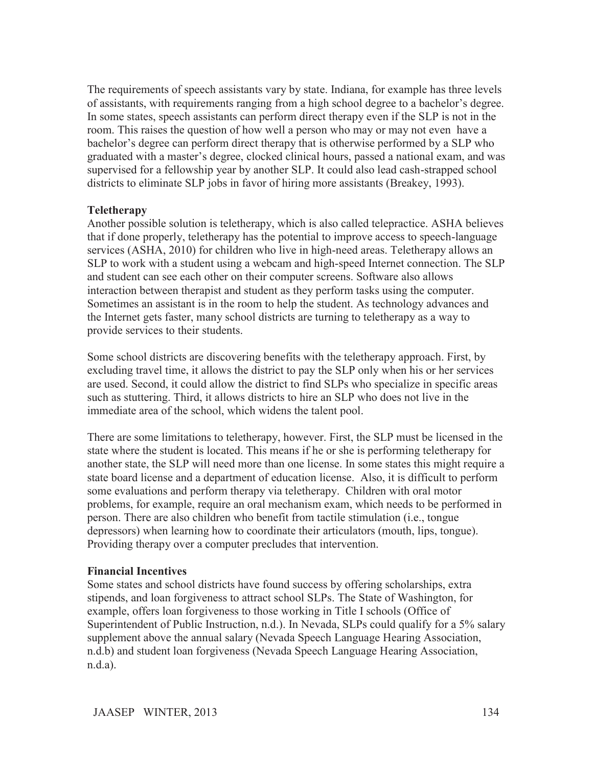The requirements of speech assistants vary by state. Indiana, for example has three levels of assistants, with requirements ranging from a high school degree to a bachelor's degree. In some states, speech assistants can perform direct therapy even if the SLP is not in the room. This raises the question of how well a person who may or may not even have a bachelor's degree can perform direct therapy that is otherwise performed by a SLP who graduated with a master's degree, clocked clinical hours, passed a national exam, and was supervised for a fellowship year by another SLP. It could also lead cash-strapped school districts to eliminate SLP jobs in favor of hiring more assistants (Breakey, 1993).

### **Teletherapy**

Another possible solution is teletherapy, which is also called telepractice. ASHA believes that if done properly, teletherapy has the potential to improve access to speech-language services (ASHA, 2010) for children who live in high-need areas. Teletherapy allows an SLP to work with a student using a webcam and high-speed Internet connection. The SLP and student can see each other on their computer screens. Software also allows interaction between therapist and student as they perform tasks using the computer. Sometimes an assistant is in the room to help the student. As technology advances and the Internet gets faster, many school districts are turning to teletherapy as a way to provide services to their students.

Some school districts are discovering benefits with the teletherapy approach. First, by excluding travel time, it allows the district to pay the SLP only when his or her services are used. Second, it could allow the district to find SLPs who specialize in specific areas such as stuttering. Third, it allows districts to hire an SLP who does not live in the immediate area of the school, which widens the talent pool.

There are some limitations to teletherapy, however. First, the SLP must be licensed in the state where the student is located. This means if he or she is performing teletherapy for another state, the SLP will need more than one license. In some states this might require a state board license and a department of education license. Also, it is difficult to perform some evaluations and perform therapy via teletherapy. Children with oral motor problems, for example, require an oral mechanism exam, which needs to be performed in person. There are also children who benefit from tactile stimulation (i.e., tongue depressors) when learning how to coordinate their articulators (mouth, lips, tongue). Providing therapy over a computer precludes that intervention.

### **Financial Incentives**

Some states and school districts have found success by offering scholarships, extra stipends, and loan forgiveness to attract school SLPs. The State of Washington, for example, offers loan forgiveness to those working in Title I schools (Office of Superintendent of Public Instruction, n.d.). In Nevada, SLPs could qualify for a 5% salary supplement above the annual salary (Nevada Speech Language Hearing Association, n.d.b) and student loan forgiveness (Nevada Speech Language Hearing Association, n.d.a).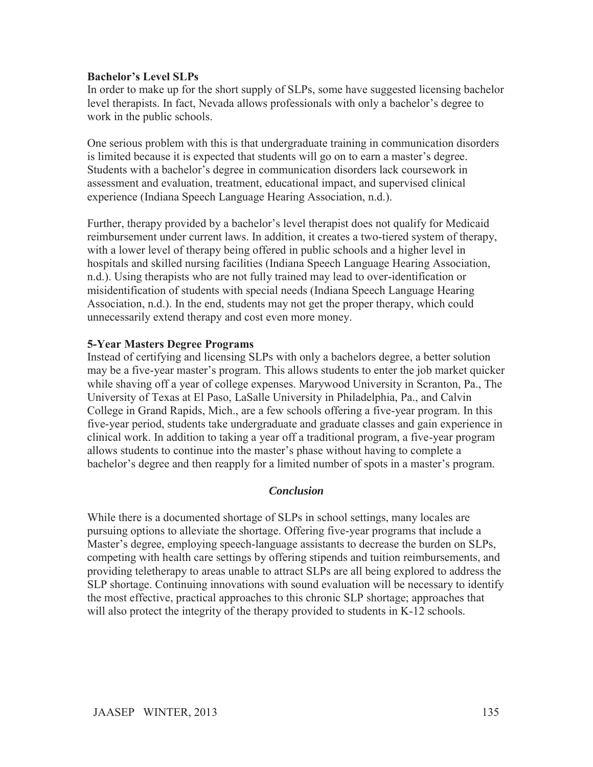## **Bachelor's Level SLPs**

In order to make up for the short supply of SLPs, some have suggested licensing bachelor level therapists. In fact, Nevada allows professionals with only a bachelor's degree to work in the public schools.

One serious problem with this is that undergraduate training in communication disorders is limited because it is expected that students will go on to earn a master's degree. Students with a bachelor's degree in communication disorders lack coursework in assessment and evaluation, treatment, educational impact, and supervised clinical experience (Indiana Speech Language Hearing Association, n.d.).

Further, therapy provided by a bachelor's level therapist does not qualify for Medicaid reimbursement under current laws. In addition, it creates a two-tiered system of therapy, with a lower level of therapy being offered in public schools and a higher level in hospitals and skilled nursing facilities (Indiana Speech Language Hearing Association, n.d.). Using therapists who are not fully trained may lead to over-identification or misidentification of students with special needs (Indiana Speech Language Hearing Association, n.d.). In the end, students may not get the proper therapy, which could unnecessarily extend therapy and cost even more money.

# **5-Year Masters Degree Programs**

Instead of certifying and licensing SLPs with only a bachelors degree, a better solution may be a five-year master's program. This allows students to enter the job market quicker while shaving off a year of college expenses. Marywood University in Scranton, Pa., The University of Texas at El Paso, LaSalle University in Philadelphia, Pa., and Calvin College in Grand Rapids, Mich., are a few schools offering a five-year program. In this five-year period, students take undergraduate and graduate classes and gain experience in clinical work. In addition to taking a year off a traditional program, a five-year program allows students to continue into the master's phase without having to complete a bachelor's degree and then reapply for a limited number of spots in a master's program.

### *Conclusion*

While there is a documented shortage of SLPs in school settings, many locales are pursuing options to alleviate the shortage. Offering five-year programs that include a Master's degree, employing speech-language assistants to decrease the burden on SLPs, competing with health care settings by offering stipends and tuition reimbursements, and providing teletherapy to areas unable to attract SLPs are all being explored to address the SLP shortage. Continuing innovations with sound evaluation will be necessary to identify the most effective, practical approaches to this chronic SLP shortage; approaches that will also protect the integrity of the therapy provided to students in K-12 schools.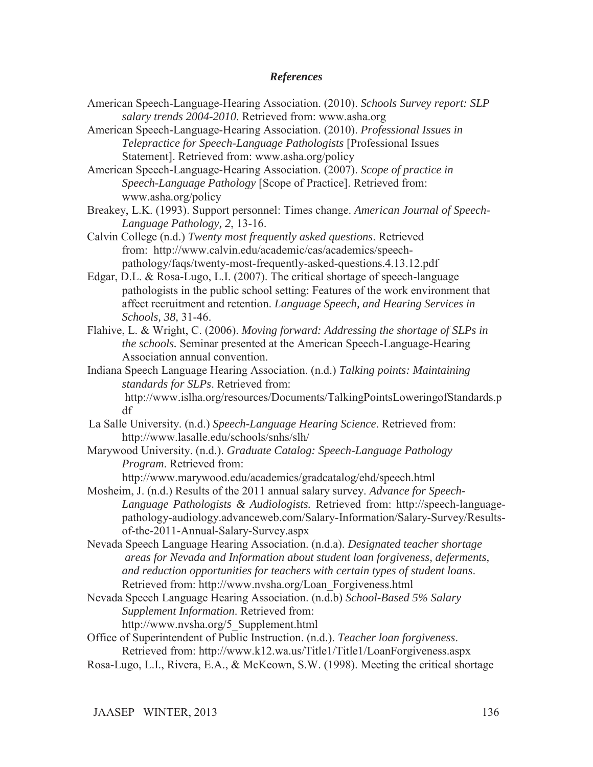#### *References*

- American Speech-Language-Hearing Association. (2010). *Schools Survey report: SLP salary trends 2004-2010*. Retrieved from: www.asha.org
- American Speech-Language-Hearing Association. (2010). *Professional Issues in Telepractice for Speech-Language Pathologists* [Professional Issues Statement]. Retrieved from: www.asha.org/policy

American Speech-Language-Hearing Association. (2007). *Scope of practice in Speech-Language Pathology* [Scope of Practice]. Retrieved from: www.asha.org/policy

Breakey, L.K. (1993). Support personnel: Times change. *American Journal of Speech- Language Pathology, 2*, 13-16.

Calvin College (n.d.) *Twenty most frequently asked questions*. Retrieved from: http://www.calvin.edu/academic/cas/academics/speech pathology/faqs/twenty-most-frequently-asked-questions.4.13.12.pdf

- Edgar, D.L. & Rosa-Lugo, L.I. (2007). The critical shortage of speech-language pathologists in the public school setting: Features of the work environment that affect recruitment and retention. *Language Speech, and Hearing Services in Schools, 38,* 31-46.
- Flahive, L. & Wright, C. (2006). *Moving forward: Addressing the shortage of SLPs in the schools.* Seminar presented at the American Speech-Language-Hearing Association annual convention.
- Indiana Speech Language Hearing Association. (n.d.) *Talking points: Maintaining standards for SLPs*. Retrieved from: http://www.islha.org/resources/Documents/TalkingPointsLoweringofStandards.p

df

La Salle University. (n.d.) *Speech-Language Hearing Science*. Retrieved from: http://www.lasalle.edu/schools/snhs/slh/

Marywood University. (n.d.). *Graduate Catalog: Speech-Language Pathology Program*. Retrieved from:

http://www.marywood.edu/academics/gradcatalog/ehd/speech.html

Mosheim, J. (n.d.) Results of the 2011 annual salary survey. *Advance for Speech-Language Pathologists & Audiologists.* Retrieved from: http://speech-languagepathology-audiology.advanceweb.com/Salary-Information/Salary-Survey/Resultsof-the-2011-Annual-Salary-Survey.aspx

- Nevada Speech Language Hearing Association. (n.d.a). *Designated teacher shortage areas for Nevada and Information about student loan forgiveness, deferments, and reduction opportunities for teachers with certain types of student loans*. Retrieved from: http://www.nvsha.org/Loan\_Forgiveness.html
- Nevada Speech Language Hearing Association. (n.d.b) *School-Based 5% Salary Supplement Information*. Retrieved from: http://www.nvsha.org/5\_Supplement.html

Office of Superintendent of Public Instruction. (n.d.). *Teacher loan forgiveness*. Retrieved from: http://www.k12.wa.us/Title1/Title1/LoanForgiveness.aspx

Rosa-Lugo, L.I., Rivera, E.A., & McKeown, S.W. (1998). Meeting the critical shortage